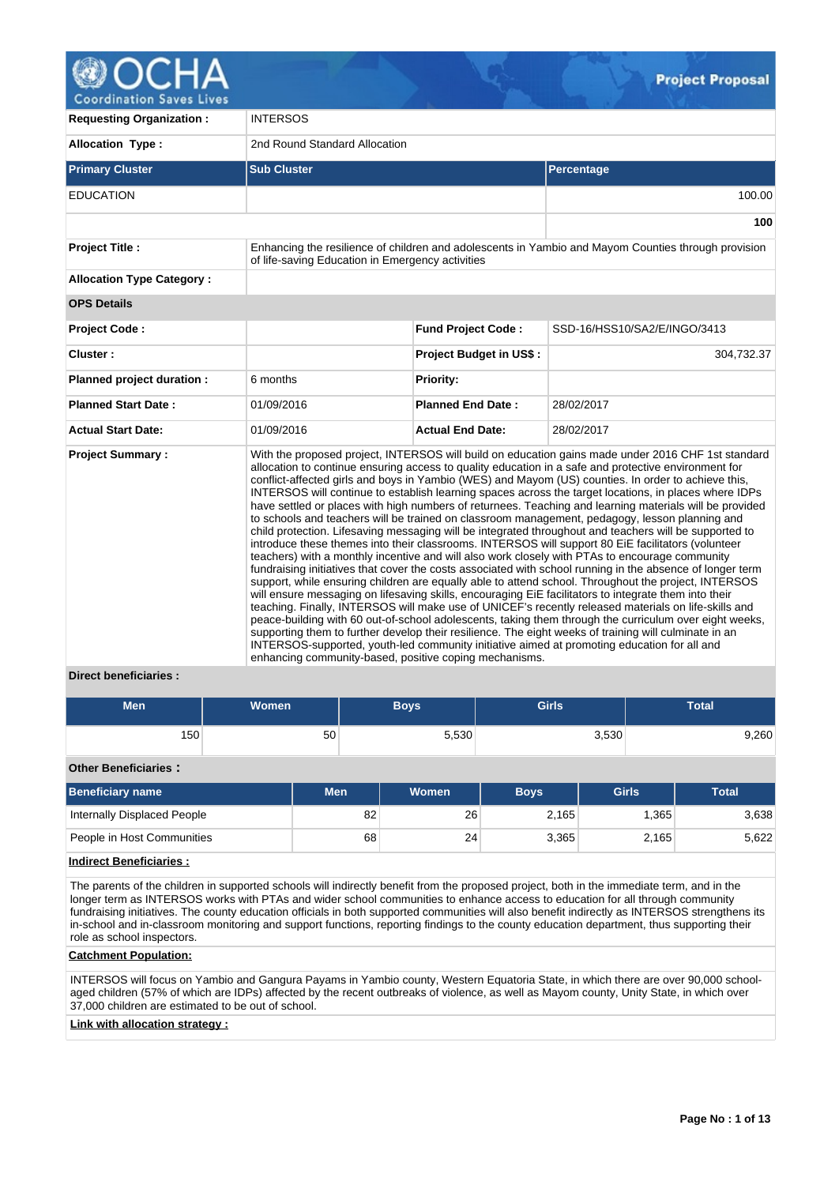

**100**

**Requesting Organization :** INTERSOS **Allocation Type :** 2nd Round Standard Allocation **Primary Cluster Sub Cluster Sub Cluster** Sub Cluster Sub Cluster Sub Cluster Sub Cluster Sub Cluster Sub Cluster EDUCATION 100.00 **Project Title :** Enhancing the resilience of children and adolescents in Yambio and Mayom Counties through provision of life-saving Education in Emergency activities **Allocation Type Category : OPS Details Project Code : Fund Project Code :** SSD-16/HSS10/SA2/E/INGO/3413 **Cluster : Project Budget in US\$ :** 304,732.37 **Planned project duration :** 6 months **Planned Priority: Planned Start Date :** 01/09/2016 **Planned End Date :** 28/02/2017 **Actual Start Date:** 01/09/2016 **Actual End Date:** 28/02/2017 **Project Summary :** With the proposed project, INTERSOS will build on education gains made under 2016 CHF 1st standard allocation to continue ensuring access to quality education in a safe and protective environment for conflict-affected girls and boys in Yambio (WES) and Mayom (US) counties. In order to achieve this, INTERSOS will continue to establish learning spaces across the target locations, in places where IDPs have settled or places with high numbers of returnees. Teaching and learning materials will be provided to schools and teachers will be trained on classroom management, pedagogy, lesson planning and child protection. Lifesaving messaging will be integrated throughout and teachers will be supported to introduce these themes into their classrooms. INTERSOS will support 80 EiE facilitators (volunteer teachers) with a monthly incentive and will also work closely with PTAs to encourage community fundraising initiatives that cover the costs associated with school running in the absence of longer term support, while ensuring children are equally able to attend school. Throughout the project, INTERSOS will ensure messaging on lifesaving skills, encouraging EiE facilitators to integrate them into their teaching. Finally, INTERSOS will make use of UNICEF's recently released materials on life-skills and peace-building with 60 out-of-school adolescents, taking them through the curriculum over eight weeks, supporting them to further develop their resilience. The eight weeks of training will culminate in an INTERSOS-supported, youth-led community initiative aimed at promoting education for all and

# **Direct beneficiaries :**

| Men              | Women | Boys  | <b>Girls</b> | <b>Total</b> |
|------------------|-------|-------|--------------|--------------|
| 150 <sub>1</sub> | 50    | 5,530 | 3,530        | 9,260        |

enhancing community-based, positive coping mechanisms.

# **Other Beneficiaries :**

| <b>Beneficiary name</b>     | Men | <b>Women</b> | <b>Boys</b> | Girls | <b>Total</b> |
|-----------------------------|-----|--------------|-------------|-------|--------------|
| Internally Displaced People | 82  | 26           | 2.165       | .365  | 3,638        |
| People in Host Communities  | 68  | 24           | 3.365       | 2,165 | 5,622        |

# **Indirect Beneficiaries :**

The parents of the children in supported schools will indirectly benefit from the proposed project, both in the immediate term, and in the longer term as INTERSOS works with PTAs and wider school communities to enhance access to education for all through community fundraising initiatives. The county education officials in both supported communities will also benefit indirectly as INTERSOS strengthens its in-school and in-classroom monitoring and support functions, reporting findings to the county education department, thus supporting their role as school inspectors.

#### **Catchment Population:**

INTERSOS will focus on Yambio and Gangura Payams in Yambio county, Western Equatoria State, in which there are over 90,000 schoolaged children (57% of which are IDPs) affected by the recent outbreaks of violence, as well as Mayom county, Unity State, in which over 37,000 children are estimated to be out of school.

# **Link with allocation strategy :**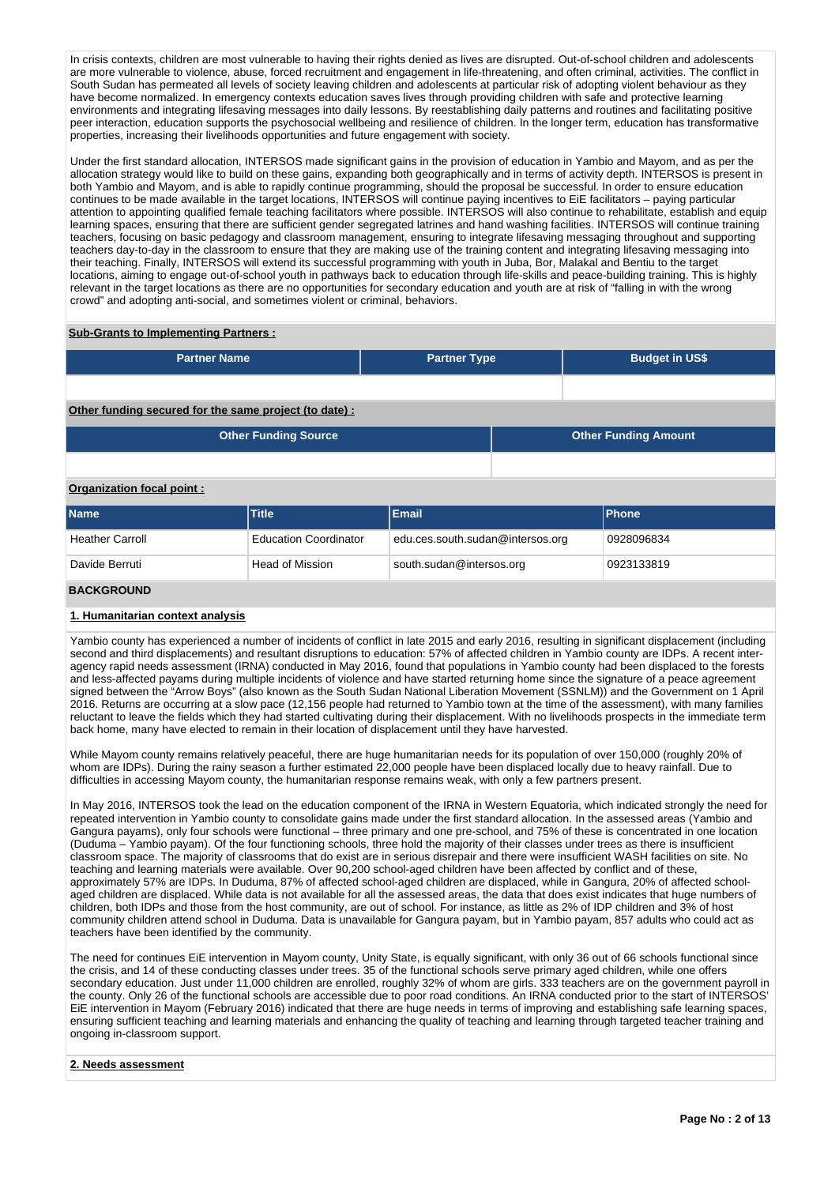In crisis contexts, children are most vulnerable to having their rights denied as lives are disrupted. Out-of-school children and adolescents are more vulnerable to violence, abuse, forced recruitment and engagement in life-threatening, and often criminal, activities. The conflict in South Sudan has permeated all levels of society leaving children and adolescents at particular risk of adopting violent behaviour as they have become normalized. In emergency contexts education saves lives through providing children with safe and protective learning environments and integrating lifesaving messages into daily lessons. By reestablishing daily patterns and routines and facilitating positive peer interaction, education supports the psychosocial wellbeing and resilience of children. In the longer term, education has transformative properties, increasing their livelihoods opportunities and future engagement with society.

Under the first standard allocation, INTERSOS made significant gains in the provision of education in Yambio and Mayom, and as per the allocation strategy would like to build on these gains, expanding both geographically and in terms of activity depth. INTERSOS is present in both Yambio and Mayom, and is able to rapidly continue programming, should the proposal be successful. In order to ensure education continues to be made available in the target locations, INTERSOS will continue paying incentives to EiE facilitators – paying particular attention to appointing qualified female teaching facilitators where possible. INTERSOS will also continue to rehabilitate, establish and equip learning spaces, ensuring that there are sufficient gender segregated latrines and hand washing facilities. INTERSOS will continue training teachers, focusing on basic pedagogy and classroom management, ensuring to integrate lifesaving messaging throughout and supporting teachers day-to-day in the classroom to ensure that they are making use of the training content and integrating lifesaving messaging into their teaching. Finally, INTERSOS will extend its successful programming with youth in Juba, Bor, Malakal and Bentiu to the target locations, aiming to engage out-of-school youth in pathways back to education through life-skills and peace-building training. This is highly relevant in the target locations as there are no opportunities for secondary education and youth are at risk of "falling in with the wrong crowd" and adopting anti-social, and sometimes violent or criminal, behaviors.

# **Sub-Grants to Implementing Partners :**

| <b>Partner Name</b>                                    | <b>Partner Type</b> |  | <b>Budget in US\$</b>       |  |  |  |  |  |  |
|--------------------------------------------------------|---------------------|--|-----------------------------|--|--|--|--|--|--|
|                                                        |                     |  |                             |  |  |  |  |  |  |
| Other funding secured for the same project (to date) : |                     |  |                             |  |  |  |  |  |  |
| <b>Other Funding Source</b>                            |                     |  | <b>Other Funding Amount</b> |  |  |  |  |  |  |
|                                                        |                     |  |                             |  |  |  |  |  |  |
| Organization focal point:                              |                     |  |                             |  |  |  |  |  |  |

| <b>Name</b>            | <b>Title</b>                 | Email                            | <b>IPhone</b> |
|------------------------|------------------------------|----------------------------------|---------------|
| <b>Heather Carroll</b> | <b>Education Coordinator</b> | edu.ces.south.sudan@intersos.org | 0928096834    |
| Davide Berruti         | Head of Mission              | south.sudan@intersos.org         | 0923133819    |
| <b>BACKGROUND</b>      |                              |                                  |               |

# **1. Humanitarian context analysis**

Yambio county has experienced a number of incidents of conflict in late 2015 and early 2016, resulting in significant displacement (including second and third displacements) and resultant disruptions to education: 57% of affected children in Yambio county are IDPs. A recent interagency rapid needs assessment (IRNA) conducted in May 2016, found that populations in Yambio county had been displaced to the forests and less-affected payams during multiple incidents of violence and have started returning home since the signature of a peace agreement signed between the "Arrow Boys" (also known as the South Sudan National Liberation Movement (SSNLM)) and the Government on 1 April 2016. Returns are occurring at a slow pace (12,156 people had returned to Yambio town at the time of the assessment), with many families reluctant to leave the fields which they had started cultivating during their displacement. With no livelihoods prospects in the immediate term back home, many have elected to remain in their location of displacement until they have harvested.

While Mayom county remains relatively peaceful, there are huge humanitarian needs for its population of over 150,000 (roughly 20% of whom are IDPs). During the rainy season a further estimated 22,000 people have been displaced locally due to heavy rainfall. Due to difficulties in accessing Mayom county, the humanitarian response remains weak, with only a few partners present.

In May 2016, INTERSOS took the lead on the education component of the IRNA in Western Equatoria, which indicated strongly the need for repeated intervention in Yambio county to consolidate gains made under the first standard allocation. In the assessed areas (Yambio and Gangura payams), only four schools were functional – three primary and one pre-school, and 75% of these is concentrated in one location (Duduma – Yambio payam). Of the four functioning schools, three hold the majority of their classes under trees as there is insufficient classroom space. The majority of classrooms that do exist are in serious disrepair and there were insufficient WASH facilities on site. No teaching and learning materials were available. Over 90,200 school-aged children have been affected by conflict and of these, approximately 57% are IDPs. In Duduma, 87% of affected school-aged children are displaced, while in Gangura, 20% of affected schoolaged children are displaced. While data is not available for all the assessed areas, the data that does exist indicates that huge numbers of children, both IDPs and those from the host community, are out of school. For instance, as little as 2% of IDP children and 3% of host community children attend school in Duduma. Data is unavailable for Gangura payam, but in Yambio payam, 857 adults who could act as teachers have been identified by the community.

The need for continues EiE intervention in Mayom county, Unity State, is equally significant, with only 36 out of 66 schools functional since the crisis, and 14 of these conducting classes under trees. 35 of the functional schools serve primary aged children, while one offers secondary education. Just under 11,000 children are enrolled, roughly 32% of whom are girls. 333 teachers are on the government payroll in the county. Only 26 of the functional schools are accessible due to poor road conditions. An IRNA conducted prior to the start of INTERSOS' EiE intervention in Mayom (February 2016) indicated that there are huge needs in terms of improving and establishing safe learning spaces, ensuring sufficient teaching and learning materials and enhancing the quality of teaching and learning through targeted teacher training and ongoing in-classroom support.

# **2. Needs assessment**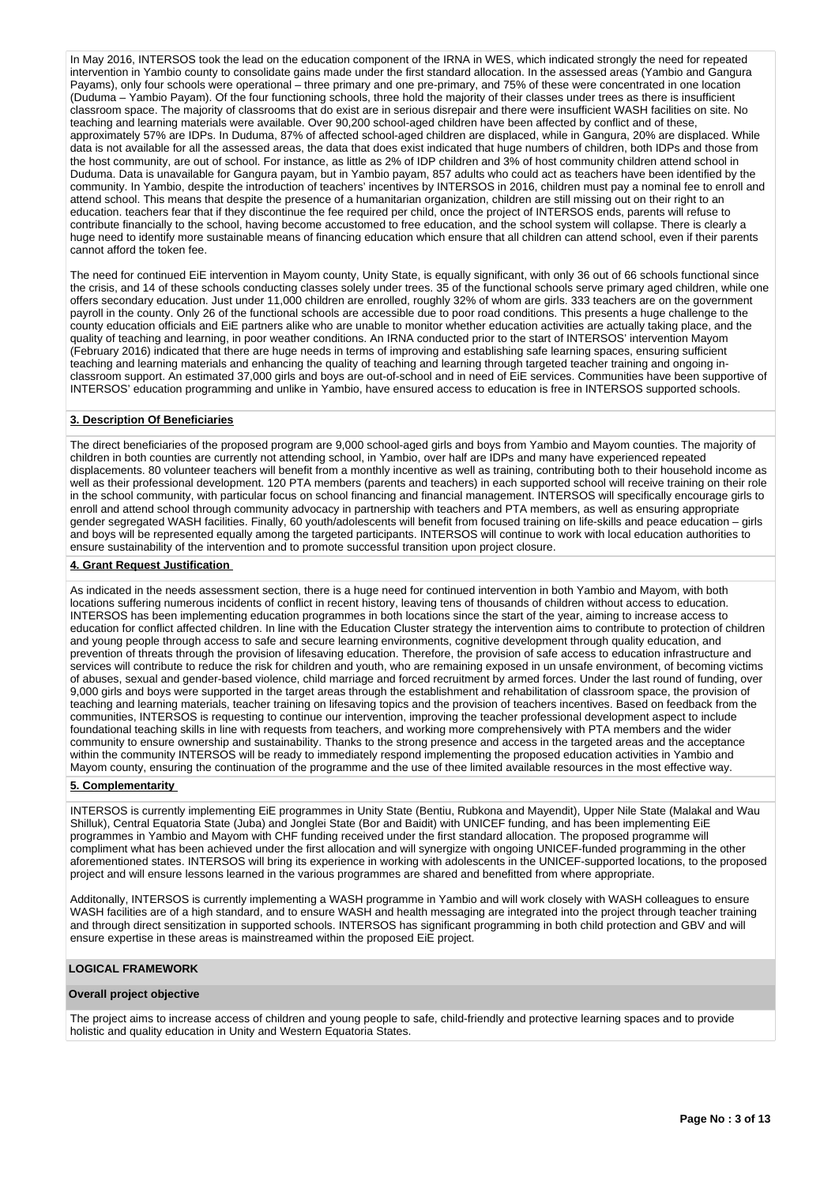In May 2016, INTERSOS took the lead on the education component of the IRNA in WES, which indicated strongly the need for repeated intervention in Yambio county to consolidate gains made under the first standard allocation. In the assessed areas (Yambio and Gangura Payams), only four schools were operational – three primary and one pre-primary, and 75% of these were concentrated in one location (Duduma – Yambio Payam). Of the four functioning schools, three hold the majority of their classes under trees as there is insufficient classroom space. The majority of classrooms that do exist are in serious disrepair and there were insufficient WASH facilities on site. No teaching and learning materials were available. Over 90,200 school-aged children have been affected by conflict and of these, approximately 57% are IDPs. In Duduma, 87% of affected school-aged children are displaced, while in Gangura, 20% are displaced. While data is not available for all the assessed areas, the data that does exist indicated that huge numbers of children, both IDPs and those from the host community, are out of school. For instance, as little as 2% of IDP children and 3% of host community children attend school in Duduma. Data is unavailable for Gangura payam, but in Yambio payam, 857 adults who could act as teachers have been identified by the community. In Yambio, despite the introduction of teachers' incentives by INTERSOS in 2016, children must pay a nominal fee to enroll and attend school. This means that despite the presence of a humanitarian organization, children are still missing out on their right to an education. teachers fear that if they discontinue the fee required per child, once the project of INTERSOS ends, parents will refuse to contribute financially to the school, having become accustomed to free education, and the school system will collapse. There is clearly a huge need to identify more sustainable means of financing education which ensure that all children can attend school, even if their parents cannot afford the token fee.

The need for continued EiE intervention in Mayom county, Unity State, is equally significant, with only 36 out of 66 schools functional since the crisis, and 14 of these schools conducting classes solely under trees. 35 of the functional schools serve primary aged children, while one offers secondary education. Just under 11,000 children are enrolled, roughly 32% of whom are girls. 333 teachers are on the government payroll in the county. Only 26 of the functional schools are accessible due to poor road conditions. This presents a huge challenge to the county education officials and EiE partners alike who are unable to monitor whether education activities are actually taking place, and the quality of teaching and learning, in poor weather conditions. An IRNA conducted prior to the start of INTERSOS' intervention Mayom (February 2016) indicated that there are huge needs in terms of improving and establishing safe learning spaces, ensuring sufficient teaching and learning materials and enhancing the quality of teaching and learning through targeted teacher training and ongoing inclassroom support. An estimated 37,000 girls and boys are out-of-school and in need of EiE services. Communities have been supportive of INTERSOS' education programming and unlike in Yambio, have ensured access to education is free in INTERSOS supported schools.

# **3. Description Of Beneficiaries**

The direct beneficiaries of the proposed program are 9,000 school-aged girls and boys from Yambio and Mayom counties. The majority of children in both counties are currently not attending school, in Yambio, over half are IDPs and many have experienced repeated displacements. 80 volunteer teachers will benefit from a monthly incentive as well as training, contributing both to their household income as well as their professional development. 120 PTA members (parents and teachers) in each supported school will receive training on their role in the school community, with particular focus on school financing and financial management. INTERSOS will specifically encourage girls to enroll and attend school through community advocacy in partnership with teachers and PTA members, as well as ensuring appropriate gender segregated WASH facilities. Finally, 60 youth/adolescents will benefit from focused training on life-skills and peace education – girls and boys will be represented equally among the targeted participants. INTERSOS will continue to work with local education authorities to ensure sustainability of the intervention and to promote successful transition upon project closure.

# **4. Grant Request Justification**

As indicated in the needs assessment section, there is a huge need for continued intervention in both Yambio and Mayom, with both locations suffering numerous incidents of conflict in recent history, leaving tens of thousands of children without access to education. INTERSOS has been implementing education programmes in both locations since the start of the year, aiming to increase access to education for conflict affected children. In line with the Education Cluster strategy the intervention aims to contribute to protection of children and young people through access to safe and secure learning environments, cognitive development through quality education, and prevention of threats through the provision of lifesaving education. Therefore, the provision of safe access to education infrastructure and services will contribute to reduce the risk for children and youth, who are remaining exposed in un unsafe environment, of becoming victims of abuses, sexual and gender-based violence, child marriage and forced recruitment by armed forces. Under the last round of funding, over 9,000 girls and boys were supported in the target areas through the establishment and rehabilitation of classroom space, the provision of teaching and learning materials, teacher training on lifesaving topics and the provision of teachers incentives. Based on feedback from the communities, INTERSOS is requesting to continue our intervention, improving the teacher professional development aspect to include foundational teaching skills in line with requests from teachers, and working more comprehensively with PTA members and the wider community to ensure ownership and sustainability. Thanks to the strong presence and access in the targeted areas and the acceptance within the community INTERSOS will be ready to immediately respond implementing the proposed education activities in Yambio and Mayom county, ensuring the continuation of the programme and the use of thee limited available resources in the most effective way.

# **5. Complementarity**

INTERSOS is currently implementing EiE programmes in Unity State (Bentiu, Rubkona and Mayendit), Upper Nile State (Malakal and Wau Shilluk), Central Equatoria State (Juba) and Jonglei State (Bor and Baidit) with UNICEF funding, and has been implementing EiE programmes in Yambio and Mayom with CHF funding received under the first standard allocation. The proposed programme will compliment what has been achieved under the first allocation and will synergize with ongoing UNICEF-funded programming in the other aforementioned states. INTERSOS will bring its experience in working with adolescents in the UNICEF-supported locations, to the proposed project and will ensure lessons learned in the various programmes are shared and benefitted from where appropriate.

Additonally, INTERSOS is currently implementing a WASH programme in Yambio and will work closely with WASH colleagues to ensure WASH facilities are of a high standard, and to ensure WASH and health messaging are integrated into the project through teacher training and through direct sensitization in supported schools. INTERSOS has significant programming in both child protection and GBV and will ensure expertise in these areas is mainstreamed within the proposed EiE project.

# **LOGICAL FRAMEWORK**

# **Overall project objective**

The project aims to increase access of children and young people to safe, child-friendly and protective learning spaces and to provide holistic and quality education in Unity and Western Equatoria States.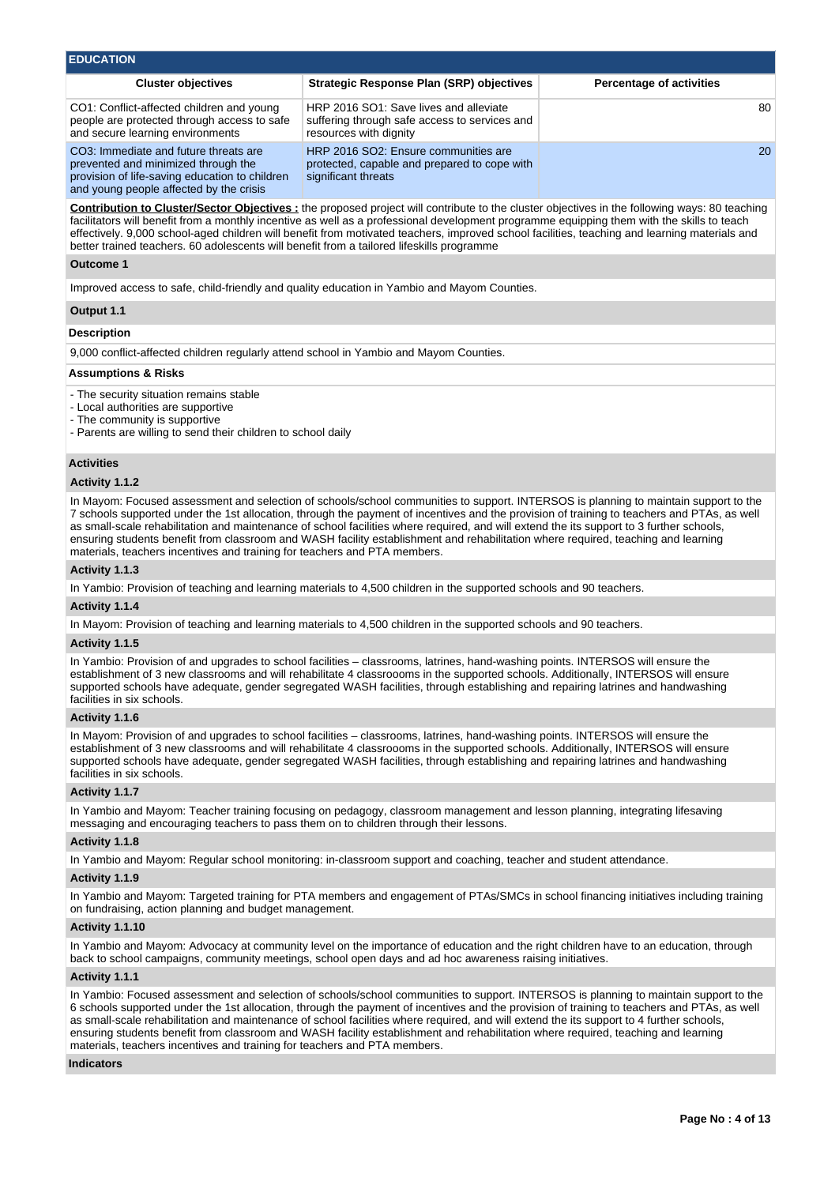| <b>EDUCATION</b>                                                                                                                                                          |                                                                                                                                                                                                                                                                                                                                                                                                                                                     |                                 |
|---------------------------------------------------------------------------------------------------------------------------------------------------------------------------|-----------------------------------------------------------------------------------------------------------------------------------------------------------------------------------------------------------------------------------------------------------------------------------------------------------------------------------------------------------------------------------------------------------------------------------------------------|---------------------------------|
| <b>Cluster objectives</b>                                                                                                                                                 | <b>Strategic Response Plan (SRP) objectives</b>                                                                                                                                                                                                                                                                                                                                                                                                     | <b>Percentage of activities</b> |
| CO1: Conflict-affected children and young<br>people are protected through access to safe<br>and secure learning environments                                              | HRP 2016 SO1: Save lives and alleviate<br>suffering through safe access to services and<br>resources with dignity                                                                                                                                                                                                                                                                                                                                   | 80                              |
| CO3: Immediate and future threats are<br>prevented and minimized through the<br>provision of life-saving education to children<br>and young people affected by the crisis | HRP 2016 SO2: Ensure communities are<br>protected, capable and prepared to cope with<br>significant threats                                                                                                                                                                                                                                                                                                                                         | <b>20</b>                       |
| better trained teachers. 60 adolescents will benefit from a tailored lifeskills programme                                                                                 | <b>Contribution to Cluster/Sector Objectives</b> : the proposed project will contribute to the cluster objectives in the following ways: 80 teaching<br>facilitators will benefit from a monthly incentive as well as a professional development programme equipping them with the skills to teach<br>effectively. 9,000 school-aged children will benefit from motivated teachers, improved school facilities, teaching and learning materials and |                                 |
|                                                                                                                                                                           |                                                                                                                                                                                                                                                                                                                                                                                                                                                     |                                 |

#### **Outcome 1**

Improved access to safe, child-friendly and quality education in Yambio and Mayom Counties.

# **Output 1.1**

# **Description**

9,000 conflict-affected children regularly attend school in Yambio and Mayom Counties.

#### **Assumptions & Risks**

- The security situation remains stable

- Local authorities are supportive
- The community is supportive
- Parents are willing to send their children to school daily

# **Activities**

# **Activity 1.1.2**

In Mayom: Focused assessment and selection of schools/school communities to support. INTERSOS is planning to maintain support to the 7 schools supported under the 1st allocation, through the payment of incentives and the provision of training to teachers and PTAs, as well as small-scale rehabilitation and maintenance of school facilities where required, and will extend the its support to 3 further schools, ensuring students benefit from classroom and WASH facility establishment and rehabilitation where required, teaching and learning materials, teachers incentives and training for teachers and PTA members.

#### **Activity 1.1.3**

In Yambio: Provision of teaching and learning materials to 4,500 children in the supported schools and 90 teachers.

# **Activity 1.1.4**

In Mayom: Provision of teaching and learning materials to 4,500 children in the supported schools and 90 teachers.

#### **Activity 1.1.5**

In Yambio: Provision of and upgrades to school facilities – classrooms, latrines, hand-washing points. INTERSOS will ensure the establishment of 3 new classrooms and will rehabilitate 4 classroooms in the supported schools. Additionally, INTERSOS will ensure supported schools have adequate, gender segregated WASH facilities, through establishing and repairing latrines and handwashing facilities in six schools.

# **Activity 1.1.6**

In Mayom: Provision of and upgrades to school facilities – classrooms, latrines, hand-washing points. INTERSOS will ensure the establishment of 3 new classrooms and will rehabilitate 4 classroooms in the supported schools. Additionally, INTERSOS will ensure supported schools have adequate, gender segregated WASH facilities, through establishing and repairing latrines and handwashing facilities in six schools.

# **Activity 1.1.7**

In Yambio and Mayom: Teacher training focusing on pedagogy, classroom management and lesson planning, integrating lifesaving messaging and encouraging teachers to pass them on to children through their lessons.

#### **Activity 1.1.8**

In Yambio and Mayom: Regular school monitoring: in-classroom support and coaching, teacher and student attendance.

# **Activity 1.1.9**

In Yambio and Mayom: Targeted training for PTA members and engagement of PTAs/SMCs in school financing initiatives including training on fundraising, action planning and budget management.

# **Activity 1.1.10**

In Yambio and Mayom: Advocacy at community level on the importance of education and the right children have to an education, through back to school campaigns, community meetings, school open days and ad hoc awareness raising initiatives.

# **Activity 1.1.1**

In Yambio: Focused assessment and selection of schools/school communities to support. INTERSOS is planning to maintain support to the 6 schools supported under the 1st allocation, through the payment of incentives and the provision of training to teachers and PTAs, as well as small-scale rehabilitation and maintenance of school facilities where required, and will extend the its support to 4 further schools, ensuring students benefit from classroom and WASH facility establishment and rehabilitation where required, teaching and learning materials, teachers incentives and training for teachers and PTA members.

#### **Indicators**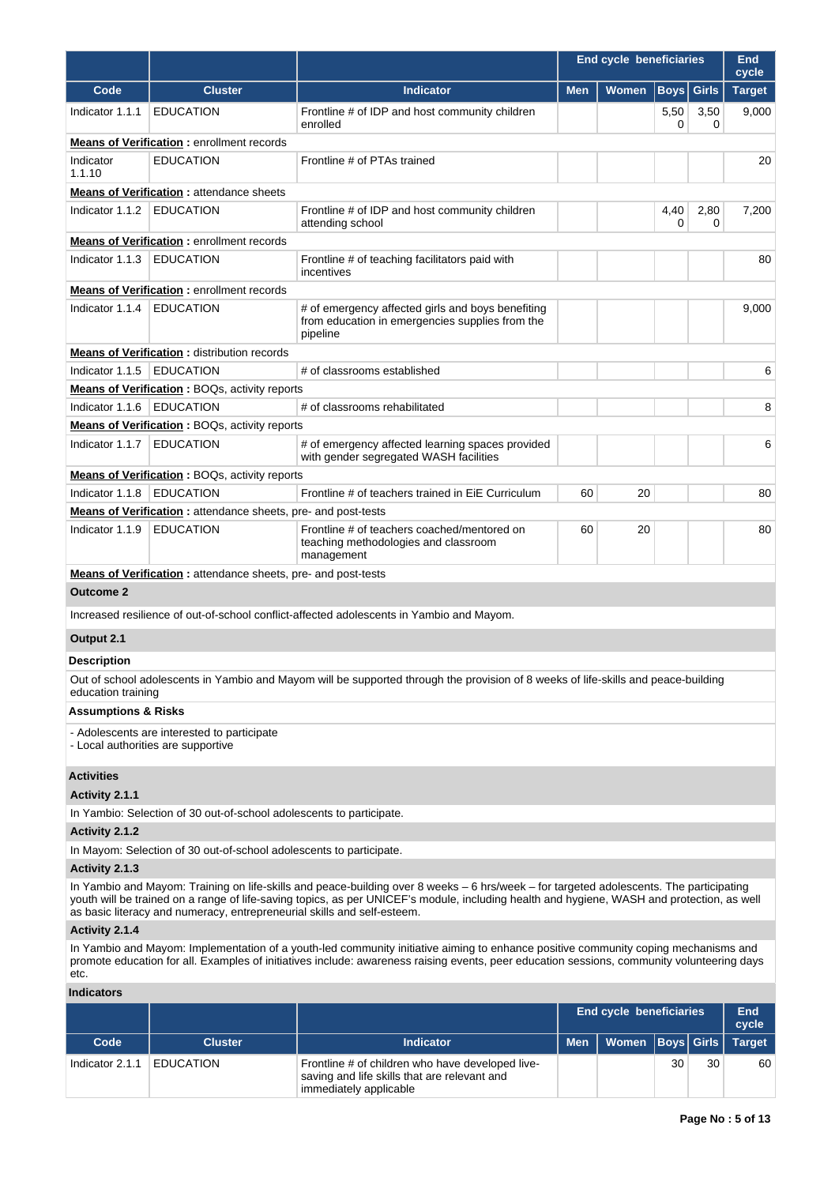|                                |                                                                                   |                                                                                                                                                                                                                                                                                       | <b>End cycle beneficiaries</b> |                                |             |              | End<br>cycle  |  |
|--------------------------------|-----------------------------------------------------------------------------------|---------------------------------------------------------------------------------------------------------------------------------------------------------------------------------------------------------------------------------------------------------------------------------------|--------------------------------|--------------------------------|-------------|--------------|---------------|--|
| Code                           | <b>Cluster</b>                                                                    | <b>Indicator</b>                                                                                                                                                                                                                                                                      | <b>Men</b>                     | <b>Women</b>                   | <b>Boys</b> | <b>Girls</b> | <b>Target</b> |  |
| Indicator 1.1.1                | <b>EDUCATION</b>                                                                  | Frontline # of IDP and host community children<br>enrolled                                                                                                                                                                                                                            |                                |                                | 5,50<br>0   | 3,50<br>0    | 9,000         |  |
|                                | <b>Means of Verification:</b> enrollment records                                  |                                                                                                                                                                                                                                                                                       |                                |                                |             |              |               |  |
| Indicator<br>1.1.10            | <b>EDUCATION</b>                                                                  | Frontline # of PTAs trained                                                                                                                                                                                                                                                           |                                |                                |             |              |               |  |
|                                | <b>Means of Verification:</b> attendance sheets                                   |                                                                                                                                                                                                                                                                                       |                                |                                |             |              |               |  |
| Indicator 1.1.2                | <b>EDUCATION</b>                                                                  | Frontline # of IDP and host community children<br>attending school                                                                                                                                                                                                                    |                                |                                |             |              |               |  |
|                                | <b>Means of Verification:</b> enrollment records                                  |                                                                                                                                                                                                                                                                                       |                                |                                |             |              |               |  |
| Indicator 1.1.3                | <b>EDUCATION</b>                                                                  | Frontline # of teaching facilitators paid with<br>incentives                                                                                                                                                                                                                          |                                |                                |             |              | 80            |  |
|                                | <b>Means of Verification:</b> enrollment records                                  |                                                                                                                                                                                                                                                                                       |                                |                                |             |              |               |  |
| Indicator 1.1.4                | <b>EDUCATION</b>                                                                  | # of emergency affected girls and boys benefiting<br>from education in emergencies supplies from the<br>pipeline                                                                                                                                                                      |                                |                                |             |              | 9,000         |  |
|                                | <b>Means of Verification:</b> distribution records                                |                                                                                                                                                                                                                                                                                       |                                |                                |             |              |               |  |
| Indicator 1.1.5                | <b>EDUCATION</b>                                                                  | # of classrooms established                                                                                                                                                                                                                                                           |                                |                                |             |              | 6             |  |
|                                | <b>Means of Verification: BOQs, activity reports</b>                              |                                                                                                                                                                                                                                                                                       |                                |                                |             |              |               |  |
| Indicator 1.1.6                | <b>EDUCATION</b>                                                                  | # of classrooms rehabilitated                                                                                                                                                                                                                                                         |                                |                                |             |              | 8             |  |
|                                | <b>Means of Verification:</b> BOQs, activity reports                              |                                                                                                                                                                                                                                                                                       |                                |                                |             |              |               |  |
| Indicator $1.1.7$              | <b>EDUCATION</b>                                                                  | # of emergency affected learning spaces provided<br>with gender segregated WASH facilities                                                                                                                                                                                            |                                |                                |             |              | 6             |  |
|                                | <b>Means of Verification : BOQs, activity reports</b>                             |                                                                                                                                                                                                                                                                                       |                                |                                |             |              |               |  |
| Indicator 1.1.8                | <b>EDUCATION</b>                                                                  | Frontline # of teachers trained in EiE Curriculum                                                                                                                                                                                                                                     | 60                             | 20                             |             |              | 80            |  |
|                                | <b>Means of Verification:</b> attendance sheets, pre- and post-tests              |                                                                                                                                                                                                                                                                                       |                                |                                |             |              |               |  |
| Indicator 1.1.9                | <b>EDUCATION</b>                                                                  | Frontline # of teachers coached/mentored on<br>teaching methodologies and classroom<br>management                                                                                                                                                                                     | 60                             | 20                             |             |              | 80            |  |
|                                | <b>Means of Verification:</b> attendance sheets, pre- and post-tests              |                                                                                                                                                                                                                                                                                       |                                |                                |             |              |               |  |
| <b>Outcome 2</b>               |                                                                                   |                                                                                                                                                                                                                                                                                       |                                |                                |             |              |               |  |
|                                |                                                                                   | Increased resilience of out-of-school conflict-affected adolescents in Yambio and Mayom.                                                                                                                                                                                              |                                |                                |             |              |               |  |
| Output 2.1                     |                                                                                   |                                                                                                                                                                                                                                                                                       |                                |                                |             |              |               |  |
| <b>Description</b>             |                                                                                   |                                                                                                                                                                                                                                                                                       |                                |                                |             |              |               |  |
| education training             |                                                                                   | Out of school adolescents in Yambio and Mayom will be supported through the provision of 8 weeks of life-skills and peace-building                                                                                                                                                    |                                |                                |             |              |               |  |
| <b>Assumptions &amp; Risks</b> |                                                                                   |                                                                                                                                                                                                                                                                                       |                                |                                |             |              |               |  |
|                                | - Adolescents are interested to participate<br>- Local authorities are supportive |                                                                                                                                                                                                                                                                                       |                                |                                |             |              |               |  |
| <b>Activities</b>              |                                                                                   |                                                                                                                                                                                                                                                                                       |                                |                                |             |              |               |  |
| Activity 2.1.1                 |                                                                                   |                                                                                                                                                                                                                                                                                       |                                |                                |             |              |               |  |
| Activity 2.1.2                 | In Yambio: Selection of 30 out-of-school adolescents to participate.              |                                                                                                                                                                                                                                                                                       |                                |                                |             |              |               |  |
|                                | In Mayom: Selection of 30 out-of-school adolescents to participate.               |                                                                                                                                                                                                                                                                                       |                                |                                |             |              |               |  |
| Activity 2.1.3                 |                                                                                   |                                                                                                                                                                                                                                                                                       |                                |                                |             |              |               |  |
|                                | as basic literacy and numeracy, entrepreneurial skills and self-esteem.           | In Yambio and Mayom: Training on life-skills and peace-building over 8 weeks – 6 hrs/week – for targeted adolescents. The participating<br>youth will be trained on a range of life-saving topics, as per UNICEF's module, including health and hygiene, WASH and protection, as well |                                |                                |             |              |               |  |
| Activity 2.1.4                 |                                                                                   |                                                                                                                                                                                                                                                                                       |                                |                                |             |              |               |  |
| etc.                           |                                                                                   | In Yambio and Mayom: Implementation of a youth-led community initiative aiming to enhance positive community coping mechanisms and<br>promote education for all. Examples of initiatives include: awareness raising events, peer education sessions, community volunteering days      |                                |                                |             |              |               |  |
| <b>Indicators</b>              |                                                                                   |                                                                                                                                                                                                                                                                                       |                                |                                |             |              |               |  |
|                                |                                                                                   |                                                                                                                                                                                                                                                                                       |                                | <b>End cycle beneficiaries</b> |             |              | End<br>cycle  |  |
| Code                           | <b>Cluster</b>                                                                    | <b>Indicator</b>                                                                                                                                                                                                                                                                      | <b>Men</b>                     | Women   Boys   Girls           |             |              | <b>Target</b> |  |

Indicator 2.1.1 | EDUCATION Frontline # of children who have developed live-

saving and life skills that are relevant and

immediately applicable

30 30 60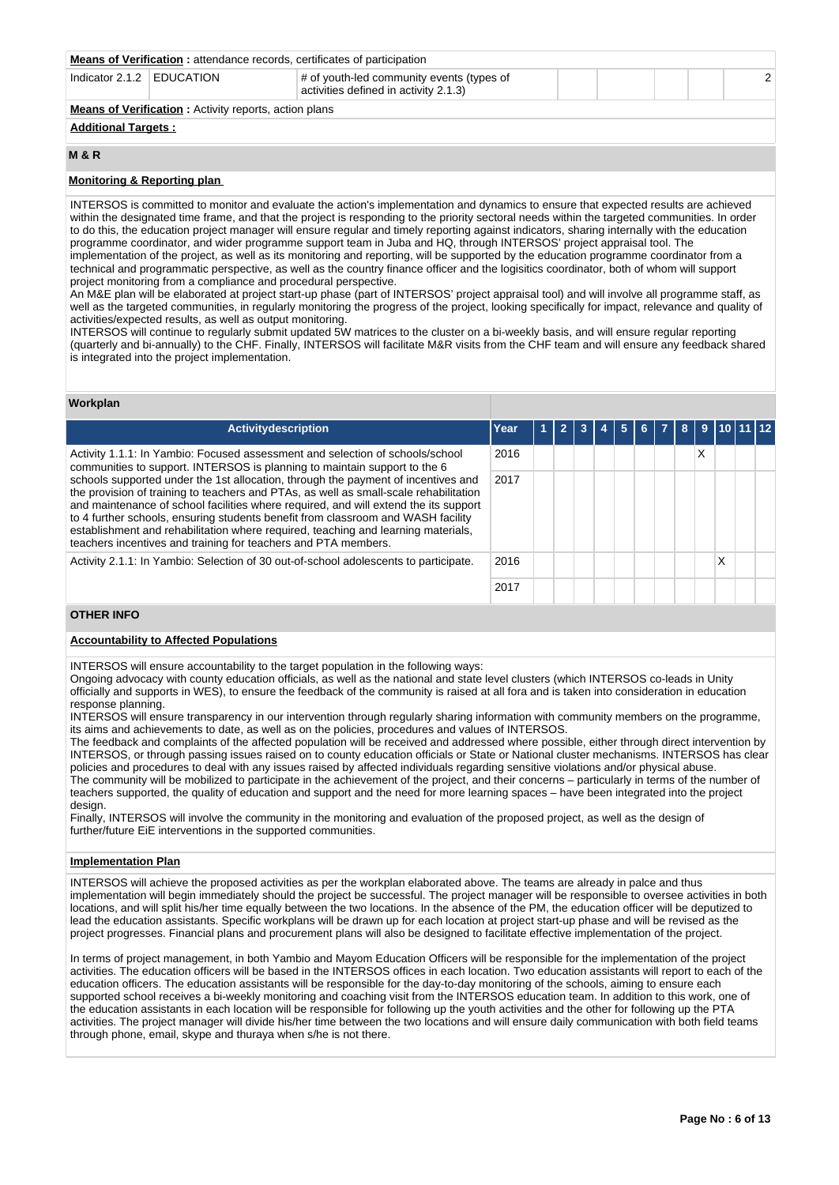| <b>Means of Verification:</b> attendance records, certificates of participation                                   |                                                              |  |  |  |  |  |  |  |  |  |
|-------------------------------------------------------------------------------------------------------------------|--------------------------------------------------------------|--|--|--|--|--|--|--|--|--|
| Indicator $2.1.2$ EDUCATION<br># of youth-led community events (types of<br>activities defined in activity 2.1.3) |                                                              |  |  |  |  |  |  |  |  |  |
|                                                                                                                   | <b>Means of Verification:</b> Activity reports, action plans |  |  |  |  |  |  |  |  |  |
|                                                                                                                   | <b>Additional Targets:</b>                                   |  |  |  |  |  |  |  |  |  |

# **M & R**

# **Monitoring & Reporting plan**

INTERSOS is committed to monitor and evaluate the action's implementation and dynamics to ensure that expected results are achieved within the designated time frame, and that the project is responding to the priority sectoral needs within the targeted communities. In order to do this, the education project manager will ensure regular and timely reporting against indicators, sharing internally with the education programme coordinator, and wider programme support team in Juba and HQ, through INTERSOS' project appraisal tool. The implementation of the project, as well as its monitoring and reporting, will be supported by the education programme coordinator from a technical and programmatic perspective, as well as the country finance officer and the logisitics coordinator, both of whom will support project monitoring from a compliance and procedural perspective.

An M&E plan will be elaborated at project start-up phase (part of INTERSOS' project appraisal tool) and will involve all programme staff, as well as the targeted communities, in regularly monitoring the progress of the project, looking specifically for impact, relevance and quality of activities/expected results, as well as output monitoring.

INTERSOS will continue to regularly submit updated 5W matrices to the cluster on a bi-weekly basis, and will ensure regular reporting (quarterly and bi-annually) to the CHF. Finally, INTERSOS will facilitate M&R visits from the CHF team and will ensure any feedback shared is integrated into the project implementation.

# **Workplan**

| Activitydescription                                                                                                                                                                                                                                                                                                                                                                                                                                                                                           | Year |  |  | 5. | 6. | 8 | 9 |   | 10 11 12 |  |
|---------------------------------------------------------------------------------------------------------------------------------------------------------------------------------------------------------------------------------------------------------------------------------------------------------------------------------------------------------------------------------------------------------------------------------------------------------------------------------------------------------------|------|--|--|----|----|---|---|---|----------|--|
| Activity 1.1.1: In Yambio: Focused assessment and selection of schools/school<br>communities to support. INTERSOS is planning to maintain support to the 6                                                                                                                                                                                                                                                                                                                                                    | 2016 |  |  |    |    |   | Χ |   |          |  |
| schools supported under the 1st allocation, through the payment of incentives and<br>the provision of training to teachers and PTAs, as well as small-scale rehabilitation<br>and maintenance of school facilities where required, and will extend the its support<br>to 4 further schools, ensuring students benefit from classroom and WASH facility<br>establishment and rehabilitation where required, teaching and learning materials,<br>teachers incentives and training for teachers and PTA members. | 2017 |  |  |    |    |   |   |   |          |  |
| Activity 2.1.1: In Yambio: Selection of 30 out-of-school adolescents to participate.                                                                                                                                                                                                                                                                                                                                                                                                                          | 2016 |  |  |    |    |   |   | Χ |          |  |
|                                                                                                                                                                                                                                                                                                                                                                                                                                                                                                               | 2017 |  |  |    |    |   |   |   |          |  |

# **OTHER INFO**

# **Accountability to Affected Populations**

INTERSOS will ensure accountability to the target population in the following ways:

Ongoing advocacy with county education officials, as well as the national and state level clusters (which INTERSOS co-leads in Unity officially and supports in WES), to ensure the feedback of the community is raised at all fora and is taken into consideration in education response planning.

INTERSOS will ensure transparency in our intervention through regularly sharing information with community members on the programme, its aims and achievements to date, as well as on the policies, procedures and values of INTERSOS.

The feedback and complaints of the affected population will be received and addressed where possible, either through direct intervention by INTERSOS, or through passing issues raised on to county education officials or State or National cluster mechanisms. INTERSOS has clear policies and procedures to deal with any issues raised by affected individuals regarding sensitive violations and/or physical abuse. The community will be mobilized to participate in the achievement of the project, and their concerns – particularly in terms of the number of teachers supported, the quality of education and support and the need for more learning spaces – have been integrated into the project design

Finally, INTERSOS will involve the community in the monitoring and evaluation of the proposed project, as well as the design of further/future EiE interventions in the supported communities.

# **Implementation Plan**

INTERSOS will achieve the proposed activities as per the workplan elaborated above. The teams are already in palce and thus implementation will begin immediately should the project be successful. The project manager will be responsible to oversee activities in both locations, and will split his/her time equally between the two locations. In the absence of the PM, the education officer will be deputized to lead the education assistants. Specific workplans will be drawn up for each location at project start-up phase and will be revised as the project progresses. Financial plans and procurement plans will also be designed to facilitate effective implementation of the project.

In terms of project management, in both Yambio and Mayom Education Officers will be responsible for the implementation of the project activities. The education officers will be based in the INTERSOS offices in each location. Two education assistants will report to each of the education officers. The education assistants will be responsible for the day-to-day monitoring of the schools, aiming to ensure each supported school receives a bi-weekly monitoring and coaching visit from the INTERSOS education team. In addition to this work, one of the education assistants in each location will be responsible for following up the youth activities and the other for following up the PTA activities. The project manager will divide his/her time between the two locations and will ensure daily communication with both field teams through phone, email, skype and thuraya when s/he is not there.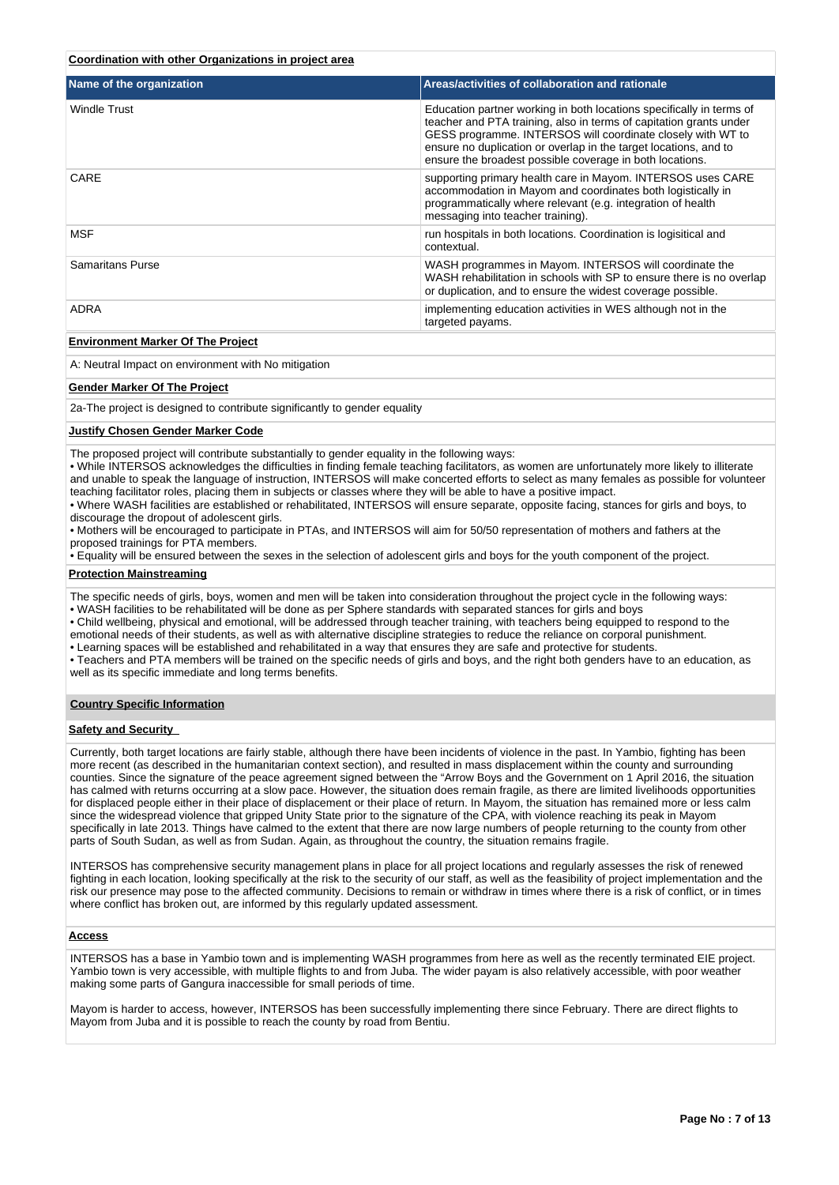# **Coordination with other Organizations in project area**

| Name of the organization        | Areas/activities of collaboration and rationale                                                                                                                                                                                                                                                                                           |
|---------------------------------|-------------------------------------------------------------------------------------------------------------------------------------------------------------------------------------------------------------------------------------------------------------------------------------------------------------------------------------------|
| Windle Trust                    | Education partner working in both locations specifically in terms of<br>teacher and PTA training, also in terms of capitation grants under<br>GESS programme. INTERSOS will coordinate closely with WT to<br>ensure no duplication or overlap in the target locations, and to<br>ensure the broadest possible coverage in both locations. |
| CARE                            | supporting primary health care in Mayom. INTERSOS uses CARE<br>accommodation in Mayom and coordinates both logistically in<br>programmatically where relevant (e.g. integration of health<br>messaging into teacher training).                                                                                                            |
| <b>MSF</b>                      | run hospitals in both locations. Coordination is logisitical and<br>contextual.                                                                                                                                                                                                                                                           |
| <b>Samaritans Purse</b>         | WASH programmes in Mayom. INTERSOS will coordinate the<br>WASH rehabilitation in schools with SP to ensure there is no overlap<br>or duplication, and to ensure the widest coverage possible.                                                                                                                                             |
| ADRA                            | implementing education activities in WES although not in the<br>targeted payams.                                                                                                                                                                                                                                                          |
| Fordermore Mader Of The Besteat |                                                                                                                                                                                                                                                                                                                                           |

#### **Environment Marker Of The Project**

A: Neutral Impact on environment with No mitigation

# **Gender Marker Of The Project**

2a-The project is designed to contribute significantly to gender equality

# **Justify Chosen Gender Marker Code**

The proposed project will contribute substantially to gender equality in the following ways:

• While INTERSOS acknowledges the difficulties in finding female teaching facilitators, as women are unfortunately more likely to illiterate and unable to speak the language of instruction, INTERSOS will make concerted efforts to select as many females as possible for volunteer teaching facilitator roles, placing them in subjects or classes where they will be able to have a positive impact.

• Where WASH facilities are established or rehabilitated, INTERSOS will ensure separate, opposite facing, stances for girls and boys, to discourage the dropout of adolescent girls.

• Mothers will be encouraged to participate in PTAs, and INTERSOS will aim for 50/50 representation of mothers and fathers at the proposed trainings for PTA members.

• Equality will be ensured between the sexes in the selection of adolescent girls and boys for the youth component of the project.

#### **Protection Mainstreaming**

The specific needs of girls, boys, women and men will be taken into consideration throughout the project cycle in the following ways:

• WASH facilities to be rehabilitated will be done as per Sphere standards with separated stances for girls and boys

• Child wellbeing, physical and emotional, will be addressed through teacher training, with teachers being equipped to respond to the emotional needs of their students, as well as with alternative discipline strategies to reduce the reliance on corporal punishment.

• Learning spaces will be established and rehabilitated in a way that ensures they are safe and protective for students.

• Teachers and PTA members will be trained on the specific needs of girls and boys, and the right both genders have to an education, as well as its specific immediate and long terms benefits.

# **Country Specific Information**

#### **Safety and Security**

Currently, both target locations are fairly stable, although there have been incidents of violence in the past. In Yambio, fighting has been more recent (as described in the humanitarian context section), and resulted in mass displacement within the county and surrounding counties. Since the signature of the peace agreement signed between the "Arrow Boys and the Government on 1 April 2016, the situation has calmed with returns occurring at a slow pace. However, the situation does remain fragile, as there are limited livelihoods opportunities for displaced people either in their place of displacement or their place of return. In Mayom, the situation has remained more or less calm since the widespread violence that gripped Unity State prior to the signature of the CPA, with violence reaching its peak in Mayom specifically in late 2013. Things have calmed to the extent that there are now large numbers of people returning to the county from other parts of South Sudan, as well as from Sudan. Again, as throughout the country, the situation remains fragile.

INTERSOS has comprehensive security management plans in place for all project locations and regularly assesses the risk of renewed fighting in each location, looking specifically at the risk to the security of our staff, as well as the feasibility of project implementation and the risk our presence may pose to the affected community. Decisions to remain or withdraw in times where there is a risk of conflict, or in times where conflict has broken out, are informed by this regularly updated assessment.

#### **Access**

INTERSOS has a base in Yambio town and is implementing WASH programmes from here as well as the recently terminated EIE project. Yambio town is very accessible, with multiple flights to and from Juba. The wider payam is also relatively accessible, with poor weather making some parts of Gangura inaccessible for small periods of time.

Mayom is harder to access, however, INTERSOS has been successfully implementing there since February. There are direct flights to Mayom from Juba and it is possible to reach the county by road from Bentiu.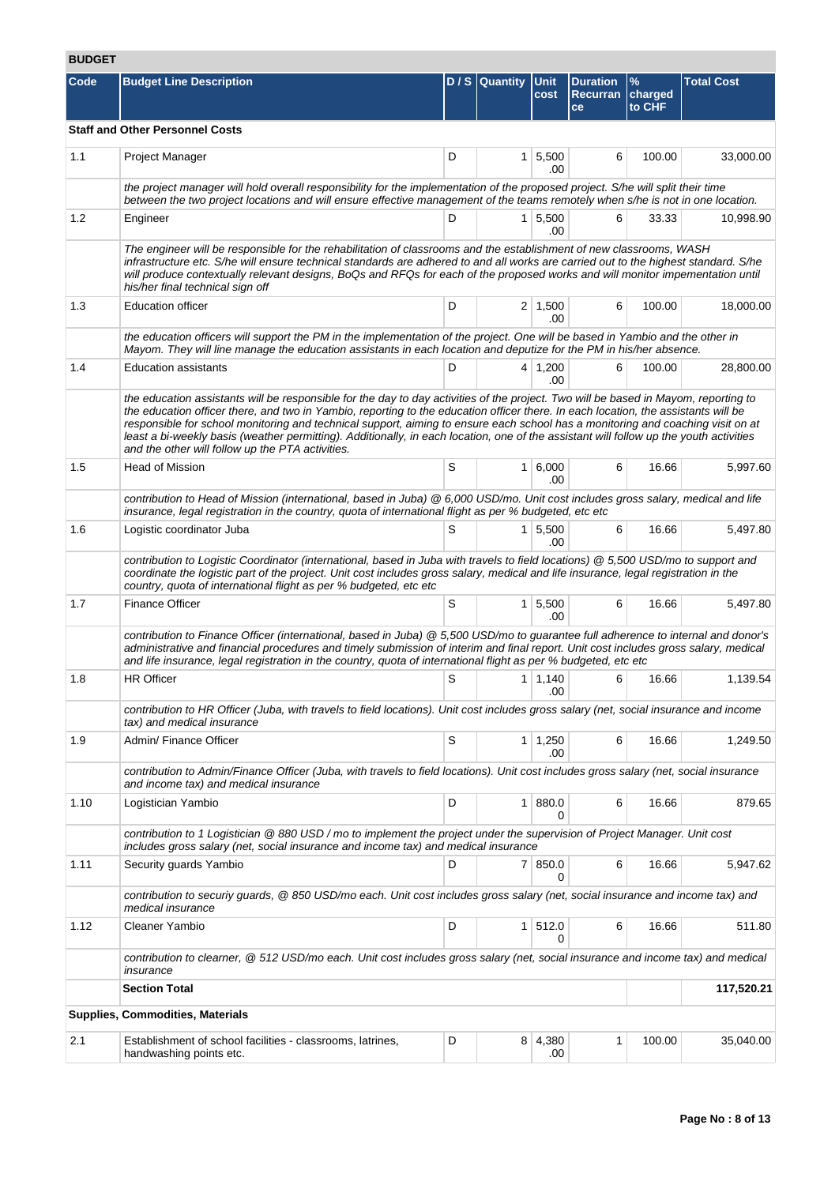# **BUDGET**

| Code | <b>Budget Line Description</b>                                                                                                                                                                                                                                                                                                                                                                                                                                                                                                                                                                             |   | D / S Quantity Unit | cost                  | <b>Duration</b><br>Recurran charged<br>ce | $\frac{9}{6}$<br>to CHF | <b>Total Cost</b> |  |  |  |
|------|------------------------------------------------------------------------------------------------------------------------------------------------------------------------------------------------------------------------------------------------------------------------------------------------------------------------------------------------------------------------------------------------------------------------------------------------------------------------------------------------------------------------------------------------------------------------------------------------------------|---|---------------------|-----------------------|-------------------------------------------|-------------------------|-------------------|--|--|--|
|      | <b>Staff and Other Personnel Costs</b>                                                                                                                                                                                                                                                                                                                                                                                                                                                                                                                                                                     |   |                     |                       |                                           |                         |                   |  |  |  |
| 1.1  | Project Manager                                                                                                                                                                                                                                                                                                                                                                                                                                                                                                                                                                                            | D |                     | $1 \, 5,500$<br>.00   | 6                                         | 100.00                  | 33,000.00         |  |  |  |
|      | the project manager will hold overall responsibility for the implementation of the proposed project. S/he will split their time<br>between the two project locations and will ensure effective management of the teams remotely when s/he is not in one location.                                                                                                                                                                                                                                                                                                                                          |   |                     |                       |                                           |                         |                   |  |  |  |
| 1.2  | Engineer                                                                                                                                                                                                                                                                                                                                                                                                                                                                                                                                                                                                   | D |                     | 1 5,500<br>.00        | 6                                         | 33.33                   | 10,998.90         |  |  |  |
|      | The engineer will be responsible for the rehabilitation of classrooms and the establishment of new classrooms, WASH<br>infrastructure etc. S/he will ensure technical standards are adhered to and all works are carried out to the highest standard. S/he<br>will produce contextually relevant designs, BoQs and RFQs for each of the proposed works and will monitor impementation until<br>his/her final technical sign off                                                                                                                                                                            |   |                     |                       |                                           |                         |                   |  |  |  |
| 1.3  | <b>Education officer</b>                                                                                                                                                                                                                                                                                                                                                                                                                                                                                                                                                                                   | D |                     | $2 \mid 1,500$<br>.00 | 6                                         | 100.00                  | 18,000.00         |  |  |  |
|      | the education officers will support the PM in the implementation of the project. One will be based in Yambio and the other in<br>Mayom. They will line manage the education assistants in each location and deputize for the PM in his/her absence.                                                                                                                                                                                                                                                                                                                                                        |   |                     |                       |                                           |                         |                   |  |  |  |
| 1.4  | <b>Education assistants</b>                                                                                                                                                                                                                                                                                                                                                                                                                                                                                                                                                                                | D |                     | $4 \mid 1,200$<br>.00 | 6                                         | 100.00                  | 28,800.00         |  |  |  |
|      | the education assistants will be responsible for the day to day activities of the project. Two will be based in Mayom, reporting to<br>the education officer there, and two in Yambio, reporting to the education officer there. In each location, the assistants will be<br>responsible for school monitoring and technical support, aiming to ensure each school has a monitoring and coaching visit on at<br>least a bi-weekly basis (weather permitting). Additionally, in each location, one of the assistant will follow up the youth activities<br>and the other will follow up the PTA activities. |   |                     |                       |                                           |                         |                   |  |  |  |
| 1.5  | <b>Head of Mission</b>                                                                                                                                                                                                                                                                                                                                                                                                                                                                                                                                                                                     | S |                     | $1 \, 6,000$<br>.00   | 6                                         | 16.66                   | 5,997.60          |  |  |  |
|      | contribution to Head of Mission (international, based in Juba) @ 6,000 USD/mo. Unit cost includes gross salary, medical and life<br>insurance, legal registration in the country, quota of international flight as per % budgeted, etc etc                                                                                                                                                                                                                                                                                                                                                                 |   |                     |                       |                                           |                         |                   |  |  |  |
| 1.6  | Logistic coordinator Juba                                                                                                                                                                                                                                                                                                                                                                                                                                                                                                                                                                                  | S |                     | $1 \, 5,500$<br>.00   | 6                                         | 16.66                   | 5,497.80          |  |  |  |
|      | contribution to Logistic Coordinator (international, based in Juba with travels to field locations) @ 5,500 USD/mo to support and<br>coordinate the logistic part of the project. Unit cost includes gross salary, medical and life insurance, legal registration in the<br>country, quota of international flight as per % budgeted, etc etc                                                                                                                                                                                                                                                              |   |                     |                       |                                           |                         |                   |  |  |  |
| 1.7  | <b>Finance Officer</b>                                                                                                                                                                                                                                                                                                                                                                                                                                                                                                                                                                                     | S |                     | $1 \, 5,500$<br>.00   | 6                                         | 16.66                   | 5,497.80          |  |  |  |
|      | contribution to Finance Officer (international, based in Juba) @ 5,500 USD/mo to guarantee full adherence to internal and donor's<br>administrative and financial procedures and timely submission of interim and final report. Unit cost includes gross salary, medical<br>and life insurance, legal registration in the country, quota of international flight as per % budgeted, etc etc                                                                                                                                                                                                                |   |                     |                       |                                           |                         |                   |  |  |  |
| 1.8  | <b>HR Officer</b>                                                                                                                                                                                                                                                                                                                                                                                                                                                                                                                                                                                          | S |                     | $1 \mid 1,140$<br>.00 | 6                                         | 16.66                   | 1,139.54          |  |  |  |
|      | contribution to HR Officer (Juba, with travels to field locations). Unit cost includes gross salary (net, social insurance and income<br>tax) and medical insurance                                                                                                                                                                                                                                                                                                                                                                                                                                        |   |                     |                       |                                           |                         |                   |  |  |  |
| 1.9  | Admin/ Finance Officer                                                                                                                                                                                                                                                                                                                                                                                                                                                                                                                                                                                     | S |                     | $1 \mid 1,250$<br>.00 | 6                                         | 16.66                   | 1,249.50          |  |  |  |
|      | contribution to Admin/Finance Officer (Juba, with travels to field locations). Unit cost includes gross salary (net, social insurance<br>and income tax) and medical insurance                                                                                                                                                                                                                                                                                                                                                                                                                             |   |                     |                       |                                           |                         |                   |  |  |  |
| 1.10 | Logistician Yambio                                                                                                                                                                                                                                                                                                                                                                                                                                                                                                                                                                                         | D | 1 <sup>1</sup>      | 880.0<br>0            | 6                                         | 16.66                   | 879.65            |  |  |  |
|      | contribution to 1 Logistician @ 880 USD / mo to implement the project under the supervision of Project Manager. Unit cost<br>includes gross salary (net, social insurance and income tax) and medical insurance                                                                                                                                                                                                                                                                                                                                                                                            |   |                     |                       |                                           |                         |                   |  |  |  |
| 1.11 | Security guards Yambio                                                                                                                                                                                                                                                                                                                                                                                                                                                                                                                                                                                     | D |                     | 7 850.0<br>$\Omega$   | 6                                         | 16.66                   | 5,947.62          |  |  |  |
|      | contribution to securiy guards, @ 850 USD/mo each. Unit cost includes gross salary (net, social insurance and income tax) and<br>medical insurance                                                                                                                                                                                                                                                                                                                                                                                                                                                         |   |                     |                       |                                           |                         |                   |  |  |  |
| 1.12 | Cleaner Yambio                                                                                                                                                                                                                                                                                                                                                                                                                                                                                                                                                                                             | D | 1 <sup>1</sup>      | 512.0                 | 6                                         | 16.66                   | 511.80            |  |  |  |
|      | contribution to clearner, @ 512 USD/mo each. Unit cost includes gross salary (net, social insurance and income tax) and medical<br>insurance                                                                                                                                                                                                                                                                                                                                                                                                                                                               |   |                     |                       |                                           |                         |                   |  |  |  |
|      | <b>Section Total</b>                                                                                                                                                                                                                                                                                                                                                                                                                                                                                                                                                                                       |   |                     |                       |                                           |                         | 117,520.21        |  |  |  |
|      | <b>Supplies, Commodities, Materials</b>                                                                                                                                                                                                                                                                                                                                                                                                                                                                                                                                                                    |   |                     |                       |                                           |                         |                   |  |  |  |
| 2.1  | Establishment of school facilities - classrooms, latrines,<br>handwashing points etc.                                                                                                                                                                                                                                                                                                                                                                                                                                                                                                                      | D |                     | 8 4,380<br>.00        | 1                                         | 100.00                  | 35,040.00         |  |  |  |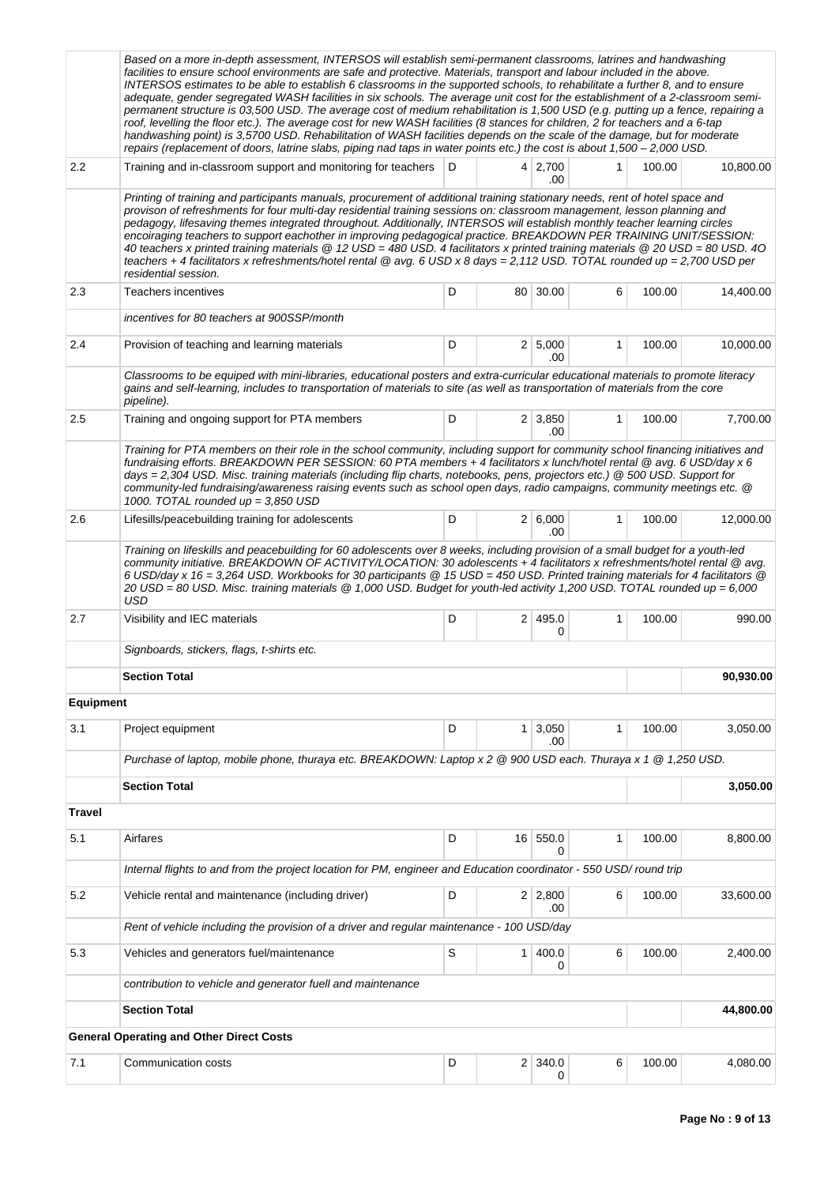|                  | Based on a more in-depth assessment, INTERSOS will establish semi-permanent classrooms, latrines and handwashing<br>facilities to ensure school environments are safe and protective. Materials, transport and labour included in the above.<br>INTERSOS estimates to be able to establish 6 classrooms in the supported schools, to rehabilitate a further 8, and to ensure<br>adequate, gender segregated WASH facilities in six schools. The average unit cost for the establishment of a 2-classroom semi-<br>permanent structure is 03,500 USD. The average cost of medium rehabilitation is 1,500 USD (e.g. putting up a fence, repairing a<br>roof, levelling the floor etc.). The average cost for new WASH facilities (8 stances for children, 2 for teachers and a 6-tap<br>handwashing point) is 3,5700 USD. Rehabilitation of WASH facilities depends on the scale of the damage, but for moderate<br>repairs (replacement of doors, latrine slabs, piping nad taps in water points etc.) the cost is about 1,500 - 2,000 USD. |   |                |                       |              |        |           |
|------------------|--------------------------------------------------------------------------------------------------------------------------------------------------------------------------------------------------------------------------------------------------------------------------------------------------------------------------------------------------------------------------------------------------------------------------------------------------------------------------------------------------------------------------------------------------------------------------------------------------------------------------------------------------------------------------------------------------------------------------------------------------------------------------------------------------------------------------------------------------------------------------------------------------------------------------------------------------------------------------------------------------------------------------------------------|---|----------------|-----------------------|--------------|--------|-----------|
| 2.2              | Training and in-classroom support and monitoring for teachers                                                                                                                                                                                                                                                                                                                                                                                                                                                                                                                                                                                                                                                                                                                                                                                                                                                                                                                                                                              | D |                | 4 2,700<br>.00        | $\mathbf{1}$ | 100.00 | 10,800.00 |
|                  | Printing of training and participants manuals, procurement of additional training stationary needs, rent of hotel space and<br>provison of refreshments for four multi-day residential training sessions on: classroom management, lesson planning and<br>pedagogy, lifesaving themes integrated throughout. Additionally, INTERSOS will establish monthly teacher learning circles<br>encoiraging teachers to support eachother in improving pedagogical practice. BREAKDOWN PER TRAINING UNIT/SESSION:<br>40 teachers x printed training materials @ 12 USD = 480 USD. 4 facilitators x printed training materials @ 20 USD = 80 USD. 40<br>teachers + 4 facilitators x refreshments/hotel rental @ avg. 6 USD x 8 days = 2,112 USD. TOTAL rounded up = 2,700 USD per<br>residential session.                                                                                                                                                                                                                                            |   |                |                       |              |        |           |
| 2.3              | Teachers incentives                                                                                                                                                                                                                                                                                                                                                                                                                                                                                                                                                                                                                                                                                                                                                                                                                                                                                                                                                                                                                        | D |                | 80 30.00              | 6            | 100.00 | 14,400.00 |
|                  | incentives for 80 teachers at 900SSP/month                                                                                                                                                                                                                                                                                                                                                                                                                                                                                                                                                                                                                                                                                                                                                                                                                                                                                                                                                                                                 |   |                |                       |              |        |           |
| 2.4              | Provision of teaching and learning materials                                                                                                                                                                                                                                                                                                                                                                                                                                                                                                                                                                                                                                                                                                                                                                                                                                                                                                                                                                                               | D |                | 2   5,000<br>.00      | $\mathbf{1}$ | 100.00 | 10,000.00 |
|                  | Classrooms to be equiped with mini-libraries, educational posters and extra-curricular educational materials to promote literacy<br>gains and self-learning, includes to transportation of materials to site (as well as transportation of materials from the core<br>pipeline).                                                                                                                                                                                                                                                                                                                                                                                                                                                                                                                                                                                                                                                                                                                                                           |   |                |                       |              |        |           |
| 2.5              | Training and ongoing support for PTA members                                                                                                                                                                                                                                                                                                                                                                                                                                                                                                                                                                                                                                                                                                                                                                                                                                                                                                                                                                                               | D |                | $2 \mid 3,850$<br>.00 | 1            | 100.00 | 7,700.00  |
|                  | Training for PTA members on their role in the school community, including support for community school financing initiatives and<br>fundraising efforts. BREAKDOWN PER SESSION: 60 PTA members + 4 facilitators x lunch/hotel rental @ avg. 6 USD/day x 6<br>days = 2,304 USD. Misc. training materials (including flip charts, notebooks, pens, projectors etc.) @ 500 USD. Support for<br>community-led fundraising/awareness raising events such as school open days, radio campaigns, community meetings etc. @<br>1000. TOTAL rounded up = 3,850 USD                                                                                                                                                                                                                                                                                                                                                                                                                                                                                  |   |                |                       |              |        |           |
| 2.6              | Lifesills/peacebuilding training for adolescents                                                                                                                                                                                                                                                                                                                                                                                                                                                                                                                                                                                                                                                                                                                                                                                                                                                                                                                                                                                           | D |                | 2 6,000<br>.00        | $\mathbf{1}$ | 100.00 | 12,000.00 |
| 2.7              | Training on lifeskills and peacebuilding for 60 adolescents over 8 weeks, including provision of a small budget for a youth-led<br>community initiative. BREAKDOWN OF ACTIVITY/LOCATION: 30 adolescents + 4 facilitators x refreshments/hotel rental @ avg.<br>6 USD/day x 16 = 3,264 USD. Workbooks for 30 participants @ 15 USD = 450 USD. Printed training materials for 4 facilitators @<br>20 USD = 80 USD. Misc. training materials @ 1,000 USD. Budget for youth-led activity 1,200 USD. TOTAL rounded up = 6,000<br>USD<br>Visibility and IEC materials                                                                                                                                                                                                                                                                                                                                                                                                                                                                            | D |                | 2 495.0               | 1            | 100.00 | 990.00    |
|                  |                                                                                                                                                                                                                                                                                                                                                                                                                                                                                                                                                                                                                                                                                                                                                                                                                                                                                                                                                                                                                                            |   |                | 0                     |              |        |           |
|                  | Signboards, stickers, flags, t-shirts etc.                                                                                                                                                                                                                                                                                                                                                                                                                                                                                                                                                                                                                                                                                                                                                                                                                                                                                                                                                                                                 |   |                |                       |              |        |           |
|                  | <b>Section Total</b>                                                                                                                                                                                                                                                                                                                                                                                                                                                                                                                                                                                                                                                                                                                                                                                                                                                                                                                                                                                                                       |   |                |                       |              |        | 90,930.00 |
| <b>Equipment</b> |                                                                                                                                                                                                                                                                                                                                                                                                                                                                                                                                                                                                                                                                                                                                                                                                                                                                                                                                                                                                                                            |   |                |                       |              |        |           |
| 3.1              | Project equipment                                                                                                                                                                                                                                                                                                                                                                                                                                                                                                                                                                                                                                                                                                                                                                                                                                                                                                                                                                                                                          | D |                | $1 \mid 3,050$<br>.00 | 1            | 100.00 | 3,050.00  |
|                  | Purchase of laptop, mobile phone, thuraya etc. BREAKDOWN: Laptop x 2 @ 900 USD each. Thuraya x 1 @ 1,250 USD.                                                                                                                                                                                                                                                                                                                                                                                                                                                                                                                                                                                                                                                                                                                                                                                                                                                                                                                              |   |                |                       |              |        |           |
|                  | <b>Section Total</b>                                                                                                                                                                                                                                                                                                                                                                                                                                                                                                                                                                                                                                                                                                                                                                                                                                                                                                                                                                                                                       |   |                |                       |              |        | 3,050.00  |
| <b>Travel</b>    |                                                                                                                                                                                                                                                                                                                                                                                                                                                                                                                                                                                                                                                                                                                                                                                                                                                                                                                                                                                                                                            |   |                |                       |              |        |           |
| 5.1              | Airfares                                                                                                                                                                                                                                                                                                                                                                                                                                                                                                                                                                                                                                                                                                                                                                                                                                                                                                                                                                                                                                   | D |                | 16 550.0<br>$\Omega$  | 1            | 100.00 | 8,800.00  |
|                  | Internal flights to and from the project location for PM, engineer and Education coordinator - 550 USD/ round trip                                                                                                                                                                                                                                                                                                                                                                                                                                                                                                                                                                                                                                                                                                                                                                                                                                                                                                                         |   |                |                       |              |        |           |
| 5.2              | Vehicle rental and maintenance (including driver)                                                                                                                                                                                                                                                                                                                                                                                                                                                                                                                                                                                                                                                                                                                                                                                                                                                                                                                                                                                          | D |                | 2   2,800<br>.00      | 6            | 100.00 | 33,600.00 |
|                  | Rent of vehicle including the provision of a driver and regular maintenance - 100 USD/day                                                                                                                                                                                                                                                                                                                                                                                                                                                                                                                                                                                                                                                                                                                                                                                                                                                                                                                                                  |   |                |                       |              |        |           |
| 5.3              | Vehicles and generators fuel/maintenance                                                                                                                                                                                                                                                                                                                                                                                                                                                                                                                                                                                                                                                                                                                                                                                                                                                                                                                                                                                                   | S | 1 <sup>1</sup> | 400.0<br>0            | 6            | 100.00 | 2,400.00  |
|                  | contribution to vehicle and generator fuell and maintenance                                                                                                                                                                                                                                                                                                                                                                                                                                                                                                                                                                                                                                                                                                                                                                                                                                                                                                                                                                                |   |                |                       |              |        |           |
|                  | <b>Section Total</b>                                                                                                                                                                                                                                                                                                                                                                                                                                                                                                                                                                                                                                                                                                                                                                                                                                                                                                                                                                                                                       |   |                |                       |              |        | 44,800.00 |
|                  | <b>General Operating and Other Direct Costs</b>                                                                                                                                                                                                                                                                                                                                                                                                                                                                                                                                                                                                                                                                                                                                                                                                                                                                                                                                                                                            |   |                |                       |              |        |           |
| 7.1              | Communication costs                                                                                                                                                                                                                                                                                                                                                                                                                                                                                                                                                                                                                                                                                                                                                                                                                                                                                                                                                                                                                        | D | 2 <sub>1</sub> | 340.0<br>0            | 6            | 100.00 | 4,080.00  |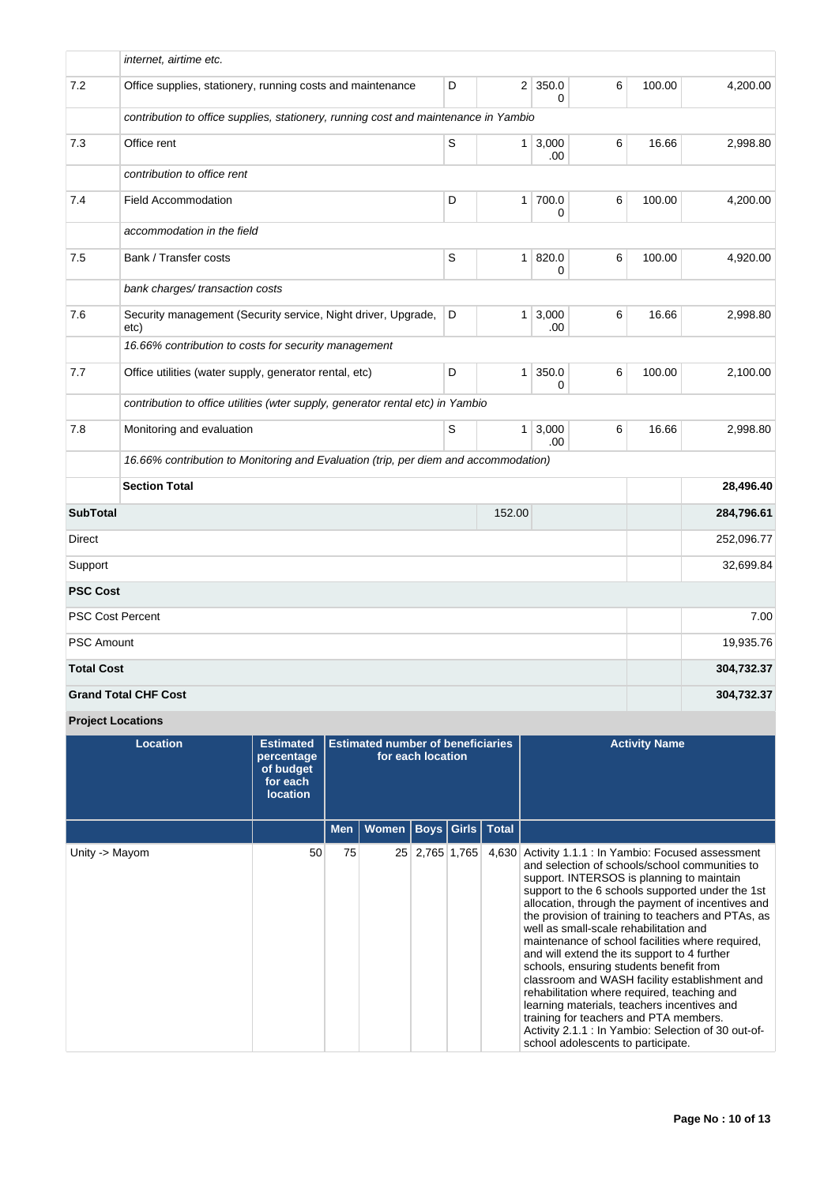|                   | internet, airtime etc.                                                              |   |                |                          |   |        |            |
|-------------------|-------------------------------------------------------------------------------------|---|----------------|--------------------------|---|--------|------------|
| 7.2               | Office supplies, stationery, running costs and maintenance                          | D |                | $2$ 350.0<br>$\Omega$    | 6 | 100.00 | 4,200.00   |
|                   | contribution to office supplies, stationery, running cost and maintenance in Yambio |   |                |                          |   |        |            |
| 7.3               | Office rent                                                                         | S | 1 <sup>1</sup> | 3,000<br>.00             | 6 | 16.66  | 2,998.80   |
|                   | contribution to office rent                                                         |   |                |                          |   |        |            |
| 7.4               | <b>Field Accommodation</b>                                                          | D | 1 <sup>1</sup> | 700.0<br>0               | 6 | 100.00 | 4,200.00   |
|                   | accommodation in the field                                                          |   |                |                          |   |        |            |
| 7.5               | Bank / Transfer costs                                                               | S | 1              | 820.0<br>0               | 6 | 100.00 | 4,920.00   |
|                   | bank charges/transaction costs                                                      |   |                |                          |   |        |            |
| 7.6               | Security management (Security service, Night driver, Upgrade,<br>etc)               | D |                | $1 \, 3,000$<br>.00      | 6 | 16.66  | 2,998.80   |
|                   | 16.66% contribution to costs for security management                                |   |                |                          |   |        |            |
| 7.7               | Office utilities (water supply, generator rental, etc)                              | D | $\mathbf{1}$   | 350.0<br>0               | 6 | 100.00 | 2,100.00   |
|                   | contribution to office utilities (wter supply, generator rental etc) in Yambio      |   |                |                          |   |        |            |
| 7.8               | Monitoring and evaluation                                                           | S |                | $1 \,   \, 3,000$<br>.00 | 6 | 16.66  | 2,998.80   |
|                   | 16.66% contribution to Monitoring and Evaluation (trip, per diem and accommodation) |   |                |                          |   |        |            |
|                   | <b>Section Total</b>                                                                |   |                |                          |   |        | 28,496.40  |
| <b>SubTotal</b>   |                                                                                     |   | 152.00         |                          |   |        | 284,796.61 |
| Direct            |                                                                                     |   |                |                          |   |        | 252,096.77 |
| Support           |                                                                                     |   |                |                          |   |        | 32,699.84  |
| <b>PSC Cost</b>   |                                                                                     |   |                |                          |   |        |            |
|                   | <b>PSC Cost Percent</b>                                                             |   |                |                          |   |        | 7.00       |
| <b>PSC Amount</b> |                                                                                     |   |                |                          |   |        | 19,935.76  |
| <b>Total Cost</b> |                                                                                     |   |                |                          |   |        | 304,732.37 |
|                   | <b>Grand Total CHF Cost</b>                                                         |   |                |                          |   |        | 304,732.37 |

**Project Locations**

| Location       | <b>Estimated</b><br>percentage<br>of budget<br>for each<br><b>location</b> | <b>Estimated number of beneficiaries</b><br>for each location |       |                |  |                         | <b>Activity Name</b>                                                                                                                                                                                                                                                                                                                                                                                                                                                                                                                                                                                                                                                                                                                                                                        |
|----------------|----------------------------------------------------------------------------|---------------------------------------------------------------|-------|----------------|--|-------------------------|---------------------------------------------------------------------------------------------------------------------------------------------------------------------------------------------------------------------------------------------------------------------------------------------------------------------------------------------------------------------------------------------------------------------------------------------------------------------------------------------------------------------------------------------------------------------------------------------------------------------------------------------------------------------------------------------------------------------------------------------------------------------------------------------|
|                |                                                                            | <b>Men</b>                                                    | Women |                |  | <b>Boys Girls Total</b> |                                                                                                                                                                                                                                                                                                                                                                                                                                                                                                                                                                                                                                                                                                                                                                                             |
| Unity -> Mayom | 50                                                                         | 75                                                            |       | 25 2,765 1,765 |  | 4,630                   | Activity 1.1.1 : In Yambio: Focused assessment<br>and selection of schools/school communities to<br>support. INTERSOS is planning to maintain<br>support to the 6 schools supported under the 1st<br>allocation, through the payment of incentives and<br>the provision of training to teachers and PTAs, as<br>well as small-scale rehabilitation and<br>maintenance of school facilities where required,<br>and will extend the its support to 4 further<br>schools, ensuring students benefit from<br>classroom and WASH facility establishment and<br>rehabilitation where required, teaching and<br>learning materials, teachers incentives and<br>training for teachers and PTA members.<br>Activity 2.1.1 : In Yambio: Selection of 30 out-of-<br>school adolescents to participate. |